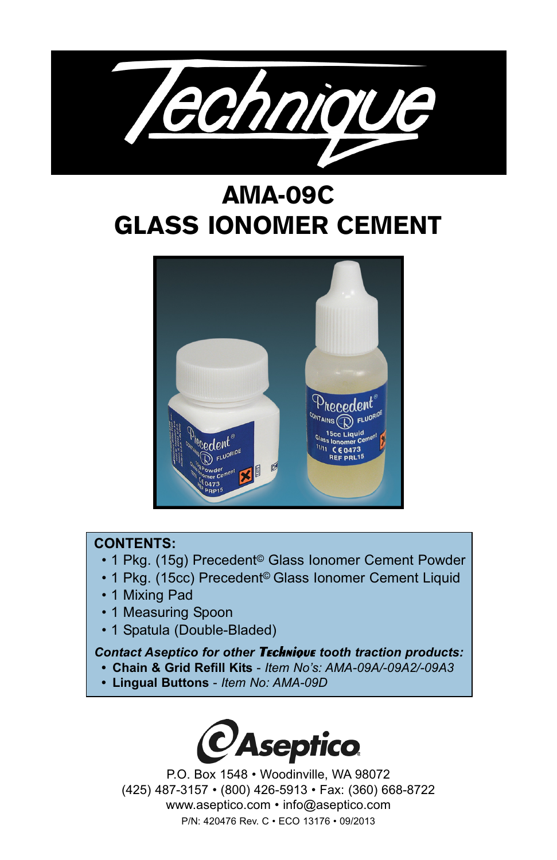

# AMA-09C GLASS IONOMER CEMENT



## **CONTENTS:**

- 1 Pkg. (15g) Precedent© Glass Ionomer Cement Powder
- 1 Pkg. (15cc) Precedent© Glass Ionomer Cement Liquid
- 1 Mixing Pad
- 1 Measuring Spoon
- 1 Spatula (Double-Bladed)

## *Contact Aseptico for other* **Technique** *tooth traction products:*

- **Chain & Grid Refill Kits**  *Item No's: AMA-09A/-09A2/-09A3*
- **Lingual Buttons**  *Item No: AMA-09D*



P.O. Box 1548 • Woodinville, WA 98072 (425) 487-3157 • (800) 426-5913 • Fax: (360) 668-8722 www.aseptico.com • info@aseptico.com P/N: 420476 Rev. C • ECO 13176 • 09/2013